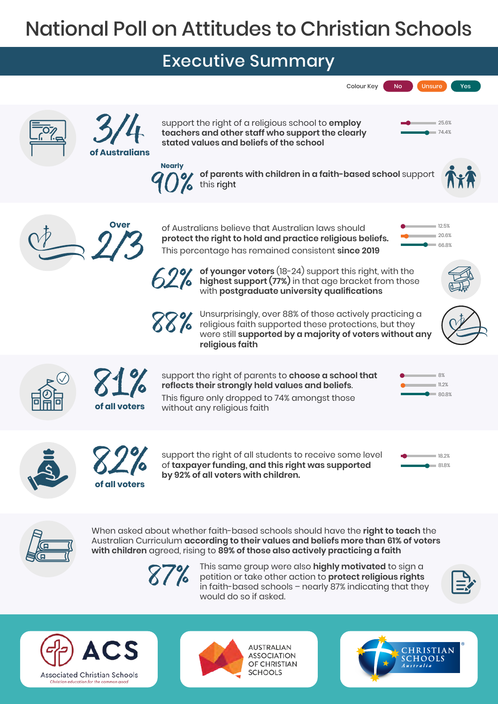## National Poll on Attitudes to Christian Schools

## Executive Summary





When asked about whether faith-based schools should have the **right to teach** the Australian Curriculum **according to their values and beliefs more than 61% of voters with children** agreed, rising to **89% of those also actively practicing a faith**

87%

This same group were also **highly motivated** to sign a petition or take other action to **protect religious rights** in faith-based schools – nearly 87% indicating that they would do so if asked.







**AUSTRALIAN ASSOCIATION** OF CHRISTIAN **SCHOOLS**